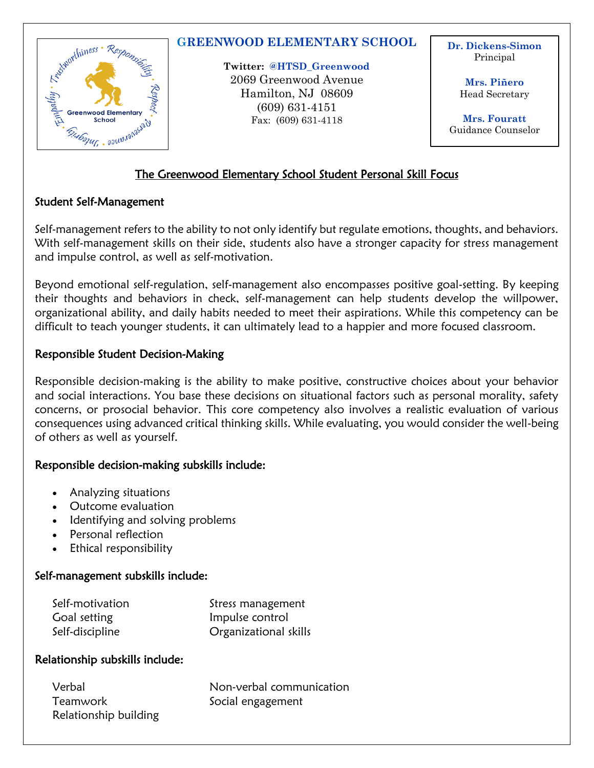

### **GREENWOOD ELEMENTARY SCHOOL**

**Twitter: @HTSD\_Greenwood** 2069 Greenwood Avenue Hamilton, NJ 08609 (609) 631-4151 Fax: (609) 631-4118

**Dr. Dickens-Simon** Principal

> **Mrs. Piñero** Head Secretary

**Mrs. Fouratt** Guidance Counselor

## The Greenwood Elementary School Student Personal Skill Focus

#### Student Self-Management

Self-management refers to the ability to not only identify but regulate emotions, thoughts, and behaviors. With self-management skills on their side, students also have a stronger capacity for stress management and impulse control, as well as self-motivation.

Beyond emotional self-regulation, self-management also encompasses positive goal-setting. By keeping their thoughts and behaviors in check, self-management can help students develop the willpower, organizational ability, and daily habits needed to meet their aspirations. While this competency can be difficult to teach younger students, it can ultimately lead to a happier and more focused classroom.

### Responsible Student Decision-Making

Responsible decision-making is the ability to make positive, constructive choices about your behavior and social interactions. You base these decisions on situational factors such as personal morality, safety concerns, or prosocial behavior. This core competency also involves a realistic evaluation of various consequences using advanced critical thinking skills. While evaluating, you would consider the well-being of others as well as yourself.

### Responsible decision-making subskills include:

- Analyzing situations
- Outcome evaluation
- Identifying and solving problems
- Personal reflection
- Ethical responsibility

### Self-management subskills include:

| Self-motivation | Stress management     |
|-----------------|-----------------------|
| Goal setting    | Impulse control       |
| Self-discipline | Organizational skills |

### Relationship subskills include:

| Verbal                | Non-verbal communication |
|-----------------------|--------------------------|
| Teamwork              | Social engagement        |
| Relationship building |                          |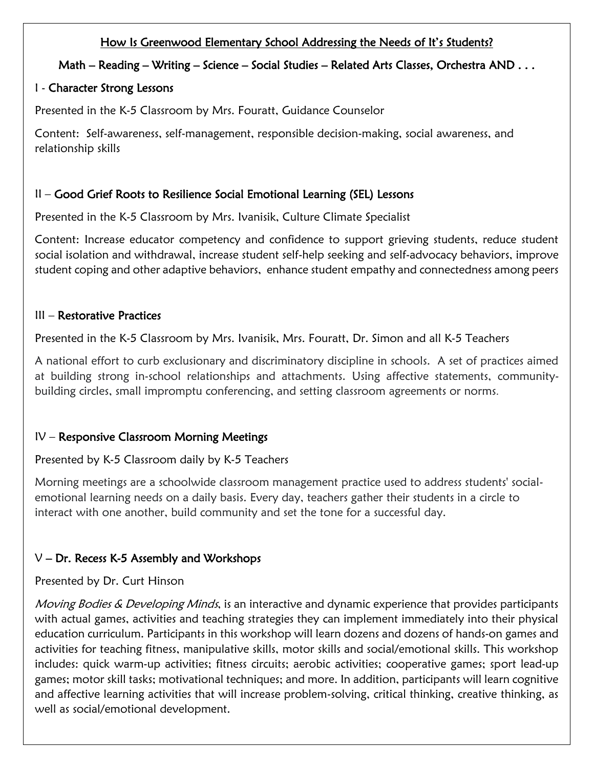## How Is Greenwood Elementary School Addressing the Needs of It's Students?

## Math – Reading – Writing – Science – Social Studies – Related Arts Classes, Orchestra AND . . .

## I - Character Strong Lessons

Presented in the K-5 Classroom by Mrs. Fouratt, Guidance Counselor

Content: Self-awareness, self-management, responsible decision-making, social awareness, and relationship skills

# II – Good Grief Roots to Resilience Social Emotional Learning (SEL) Lessons

Presented in the K-5 Classroom by Mrs. Ivanisik, Culture Climate Specialist

Content: Increase educator competency and confidence to support grieving students, reduce student social isolation and withdrawal, increase student self-help seeking and self-advocacy behaviors, improve student coping and other adaptive behaviors, enhance student empathy and connectedness among peers

## III – Restorative Practices

Presented in the K-5 Classroom by Mrs. Ivanisik, Mrs. Fouratt, Dr. Simon and all K-5 Teachers

A national effort to curb exclusionary and discriminatory discipline in schools. A set of practices aimed at building strong in-school relationships and attachments. Using affective statements, communitybuilding circles, small impromptu conferencing, and setting classroom agreements or norms.

# IV – Responsive Classroom Morning Meetings

Presented by K-5 Classroom daily by K-5 Teachers

Morning meetings are a schoolwide classroom management practice used to address students' socialemotional learning needs on a daily basis. Every day, teachers gather their students in a circle to interact with one another, build community and set the tone for a successful day.

# $V$  – Dr. Recess K-5 Assembly and Workshops

# Presented by Dr. Curt Hinson

Moving Bodies & Developing Minds, is an interactive and dynamic experience that provides participants with actual games, activities and teaching strategies they can implement immediately into their physical education curriculum. Participants in this workshop will learn dozens and dozens of hands-on games and activities for teaching fitness, manipulative skills, motor skills and social/emotional skills. This workshop includes: quick warm-up activities; fitness circuits; aerobic activities; cooperative games; sport lead-up games; motor skill tasks; motivational techniques; and more. In addition, participants will learn cognitive and affective learning activities that will increase problem-solving, critical thinking, creative thinking, as well as social/emotional development.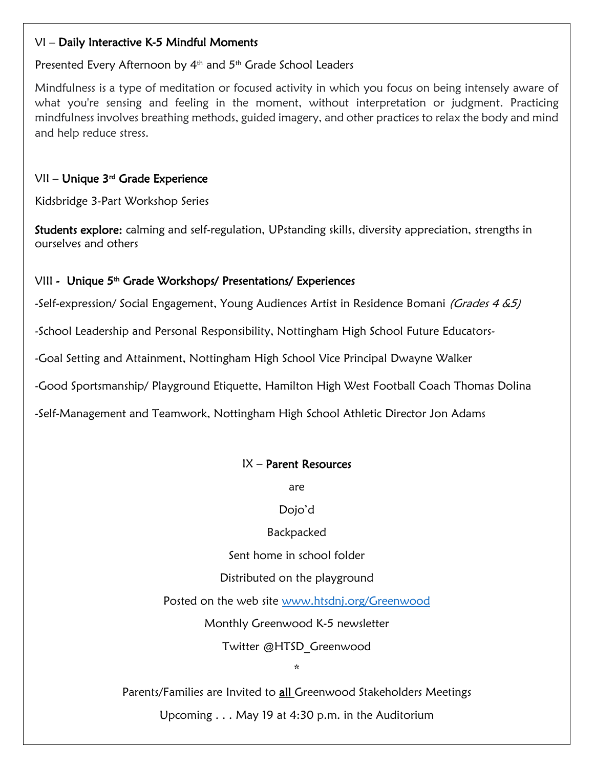### VI – Daily Interactive K-5 Mindful Moments

#### Presented Every Afternoon by 4<sup>th</sup> and 5<sup>th</sup> Grade School Leaders

Mindfulness is a type of meditation or focused activity in which you focus on being intensely aware of what you're sensing and feeling in the moment, without interpretation or judgment. Practicing mindfulness involves breathing methods, guided imagery, and other practices to relax the body and mind and help reduce stress.

## VII – Unique 3rd Grade Experience

Kidsbridge 3-Part Workshop Series

Students explore: calming and self-regulation, UPstanding skills, diversity appreciation, strengths in ourselves and others

### VIII - Unique 5<sup>th</sup> Grade Workshops/ Presentations/ Experiences

-Self-expression/ Social Engagement, Young Audiences Artist in Residence Bomani (Grades 4 & 5)

-School Leadership and Personal Responsibility, Nottingham High School Future Educators-

-Goal Setting and Attainment, Nottingham High School Vice Principal Dwayne Walker

-Good Sportsmanship/ Playground Etiquette, Hamilton High West Football Coach Thomas Dolina

-Self-Management and Teamwork, Nottingham High School Athletic Director Jon Adams

### IX – Parent Resources

are

### Dojo'd

Backpacked

Sent home in school folder

### Distributed on the playground

Posted on the web site [www.htsdnj.org/Greenwood](http://www.htsdnj.org/Greenwood)

Monthly Greenwood K-5 newsletter

Twitter @HTSD\_Greenwood

\*

Parents/Families are Invited to **all** Greenwood Stakeholders Meetings

Upcoming . . . May 19 at 4:30 p.m. in the Auditorium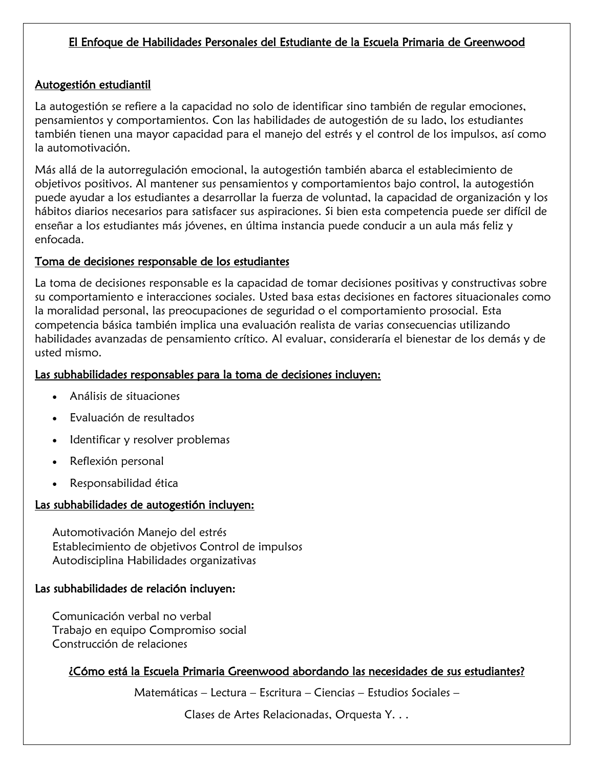## El Enfoque de Habilidades Personales del Estudiante de la Escuela Primaria de Greenwood

## Autogestión estudiantil

La autogestión se refiere a la capacidad no solo de identificar sino también de regular emociones, pensamientos y comportamientos. Con las habilidades de autogestión de su lado, los estudiantes también tienen una mayor capacidad para el manejo del estrés y el control de los impulsos, así como la automotivación.

Más allá de la autorregulación emocional, la autogestión también abarca el establecimiento de objetivos positivos. Al mantener sus pensamientos y comportamientos bajo control, la autogestión puede ayudar a los estudiantes a desarrollar la fuerza de voluntad, la capacidad de organización y los hábitos diarios necesarios para satisfacer sus aspiraciones. Si bien esta competencia puede ser difícil de enseñar a los estudiantes más jóvenes, en última instancia puede conducir a un aula más feliz y enfocada.

#### Toma de decisiones responsable de los estudiantes

La toma de decisiones responsable es la capacidad de tomar decisiones positivas y constructivas sobre su comportamiento e interacciones sociales. Usted basa estas decisiones en factores situacionales como la moralidad personal, las preocupaciones de seguridad o el comportamiento prosocial. Esta competencia básica también implica una evaluación realista de varias consecuencias utilizando habilidades avanzadas de pensamiento crítico. Al evaluar, consideraría el bienestar de los demás y de usted mismo.

#### Las subhabilidades responsables para la toma de decisiones incluyen:

- Análisis de situaciones
- Evaluación de resultados
- Identificar y resolver problemas
- Reflexión personal
- Responsabilidad ética

#### Las subhabilidades de autogestión incluyen:

Automotivación Manejo del estrés Establecimiento de objetivos Control de impulsos Autodisciplina Habilidades organizativas

#### Las subhabilidades de relación incluyen:

Comunicación verbal no verbal Trabajo en equipo Compromiso social Construcción de relaciones

### ¿Cómo está la Escuela Primaria Greenwood abordando las necesidades de sus estudiantes?

Matemáticas – Lectura – Escritura – Ciencias – Estudios Sociales –

Clases de Artes Relacionadas, Orquesta Y. . .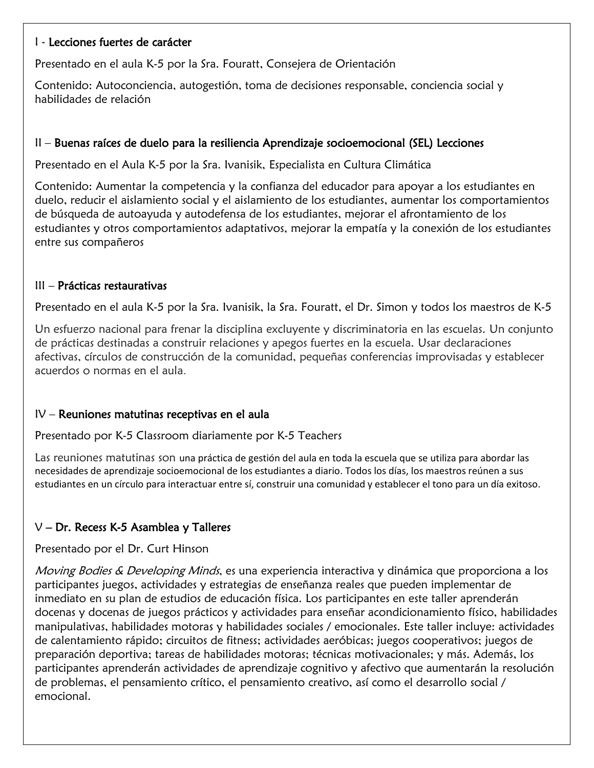#### I - Lecciones fuertes de carácter

Presentado en el aula K-5 por la Sra. Fouratt, Consejera de Orientación

Contenido: Autoconciencia, autogestión, toma de decisiones responsable, conciencia social y habilidades de relación

#### II – Buenas raíces de duelo para la resiliencia Aprendizaje socioemocional (SEL) Lecciones

Presentado en el Aula K-5 por la Sra. Ivanisik, Especialista en Cultura Climática

Contenido: Aumentar la competencia y la confianza del educador para apoyar a los estudiantes en duelo, reducir el aislamiento social y el aislamiento de los estudiantes, aumentar los comportamientos de búsqueda de autoayuda y autodefensa de los estudiantes, mejorar el afrontamiento de los estudiantes y otros comportamientos adaptativos, mejorar la empatía y la conexión de los estudiantes entre sus compañeros

#### III – Prácticas restaurativas

Presentado en el aula K-5 por la Sra. Ivanisik, la Sra. Fouratt, el Dr. Simon y todos los maestros de K-5

Un esfuerzo nacional para frenar la disciplina excluyente y discriminatoria en las escuelas. Un conjunto de prácticas destinadas a construir relaciones y apegos fuertes en la escuela. Usar declaraciones afectivas, círculos de construcción de la comunidad, pequeñas conferencias improvisadas y establecer acuerdos o normas en el aula.

#### IV – Reuniones matutinas receptivas en el aula

Presentado por K-5 Classroom diariamente por K-5 Teachers

Las reuniones matutinas son una práctica de gestión del aula en toda la escuela que se utiliza para abordar las necesidades de aprendizaje socioemocional de los estudiantes a diario. Todos los días, los maestros reúnen a sus estudiantes en un círculo para interactuar entre sí, construir una comunidad y establecer el tono para un día exitoso.

# V – Dr. Recess K-5 Asamblea y Talleres

Presentado por el Dr. Curt Hinson

Moving Bodies & Developing Minds, es una experiencia interactiva y dinámica que proporciona a los participantes juegos, actividades y estrategias de enseñanza reales que pueden implementar de inmediato en su plan de estudios de educación física. Los participantes en este taller aprenderán docenas y docenas de juegos prácticos y actividades para enseñar acondicionamiento físico, habilidades manipulativas, habilidades motoras y habilidades sociales / emocionales. Este taller incluye: actividades de calentamiento rápido; circuitos de fitness; actividades aeróbicas; juegos cooperativos; juegos de preparación deportiva; tareas de habilidades motoras; técnicas motivacionales; y más. Además, los participantes aprenderán actividades de aprendizaje cognitivo y afectivo que aumentarán la resolución de problemas, el pensamiento crítico, el pensamiento creativo, así como el desarrollo social / emocional.